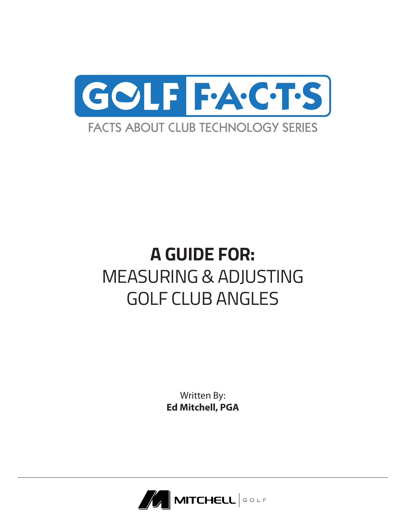

# **A GUIDE FOR:** MEASURING & ADJUSTING GOLF CLUB ANGLES

Written By: **Ed Mitchell, PGA**

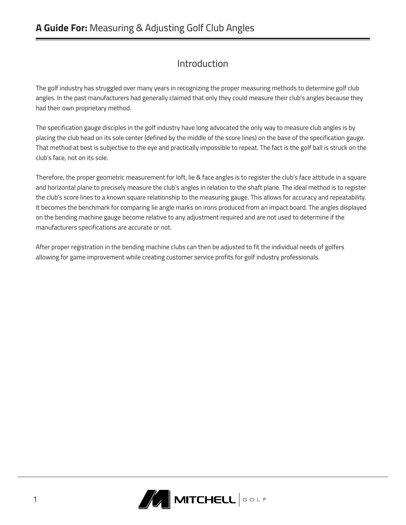# Introduction

The golf industry has struggled over many years in recognizing the proper measuring methods to determine golf club angles. In the past manufacturers had generally claimed that only they could measure their club's angles because they had their own proprietary method.

The specification gauge disciples in the golf industry have long advocated the only way to measure club angles is by placing the club head on its sole center (defined by the middle of the score lines) on the base of the specification gauge. That method at best is subjective to the eye and practically impossible to repeat. The fact is the golf ball is struck on the club's face, not on its sole.

Therefore, the proper geometric measurement for loft, lie & face angles is to register the club's face attitude in a square and horizontal plane to precisely measure the club's angles in relation to the shaft plane. The ideal method is to register the club's score lines to a known square relationship to the measuring gauge. This allows for accuracy and repeatability. It becomes the benchmark for comparing lie angle marks on irons produced from an impact board. The angles displayed on the bending machine gauge become relative to any adjustment required and are not used to determine if the manufacturers specifications are accurate or not.

After proper registration in the bending machine clubs can then be adjusted to fit the individual needs of golfers allowing for game improvement while creating customer service profits for golf industry professionals.

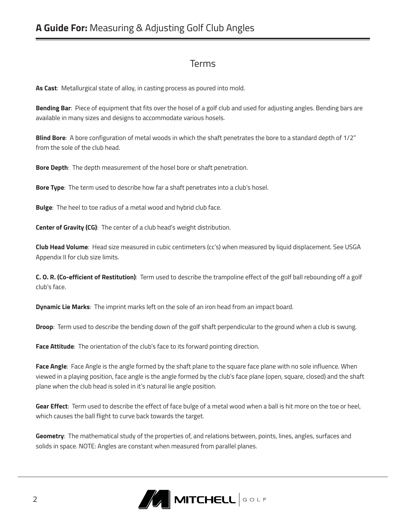### Terms

**As Cast**: Metallurgical state of alloy, in casting process as poured into mold.

**Bending Bar**: Piece of equipment that fits over the hosel of a golf club and used for adjusting angles. Bending bars are available in many sizes and designs to accommodate various hosels.

**Blind Bore**: A bore configuration of metal woods in which the shaft penetrates the bore to a standard depth of 1/2" from the sole of the club head.

**Bore Depth**: The depth measurement of the hosel bore or shaft penetration.

**Bore Type**: The term used to describe how far a shaft penetrates into a club's hosel.

**Bulge**: The heel to toe radius of a metal wood and hybrid club face.

**Center of Gravity (CG)**: The center of a club head's weight distribution.

**Club Head Volume**: Head size measured in cubic centimeters (cc's) when measured by liquid displacement. See USGA Appendix II for club size limits.

**C. O. R. (Co-efficient of Restitution)**: Term used to describe the trampoline effect of the golf ball rebounding off a golf club's face.

**Dynamic Lie Marks**: The imprint marks left on the sole of an iron head from an impact board.

**Droop**: Term used to describe the bending down of the golf shaft perpendicular to the ground when a club is swung.

**Face Attitude**: The orientation of the club's face to its forward pointing direction.

**Face Angle**: Face Angle is the angle formed by the shaft plane to the square face plane with no sole influence. When viewed in a playing position, face angle is the angle formed by the club's face plane (open, square, closed) and the shaft plane when the club head is soled in it's natural lie angle position.

**Gear Effect**: Term used to describe the effect of face bulge of a metal wood when a ball is hit more on the toe or heel, which causes the ball flight to curve back towards the target.

**Geometry**: The mathematical study of the properties of, and relations between, points, lines, angles, surfaces and solids in space. NOTE: Angles are constant when measured from parallel planes.

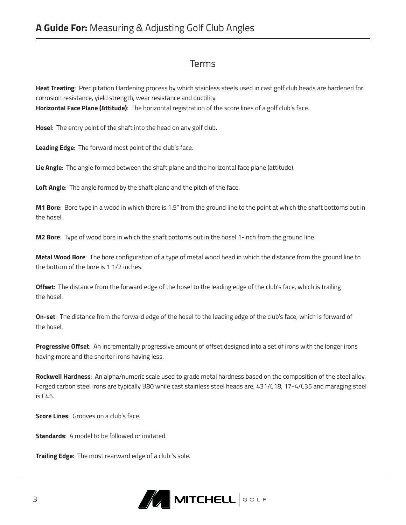### Terms

**Heat Treating**: Precipitation Hardening process by which stainless steels used in cast golf club heads are hardened for corrosion resistance, yield strength, wear resistance and ductility. **Horizontal Face Plane (Attitude)**: The horizontal registration of the score lines of a golf club's face.

**Hosel**: The entry point of the shaft into the head on any golf club.

**Leading Edge**: The forward most point of the club's face.

**Lie Angle**: The angle formed between the shaft plane and the horizontal face plane (attitude).

**Loft Angle**: The angle formed by the shaft plane and the pitch of the face.

**M1 Bore**: Bore type in a wood in which there is 1.5" from the ground line to the point at which the shaft bottoms out in the hosel.

**M2 Bore**: Type of wood bore in which the shaft bottoms out in the hosel 1-inch from the ground line.

**Metal Wood Bore**: The bore configuration of a type of metal wood head in which the distance from the ground line to the bottom of the bore is 1 1/2 inches.

**Offset**: The distance from the forward edge of the hosel to the leading edge of the club's face, which is trailing the hosel.

**On-set**: The distance from the forward edge of the hosel to the leading edge of the club's face, which is forward of the hosel.

**Progressive Offset**: An incrementally progressive amount of offset designed into a set of irons with the longer irons having more and the shorter irons having less.

**Rockwell Hardness**: An alpha/numeric scale used to grade metal hardness based on the composition of the steel alloy. Forged carbon steel irons are typically B80 while cast stainless steel heads are; 431/C18, 17-4/C35 and maraging steel is C45.

**Score Lines**: Grooves on a club's face.

**Standards**: A model to be followed or imitated.

**Trailing Edge**: The most rearward edge of a club 's sole.

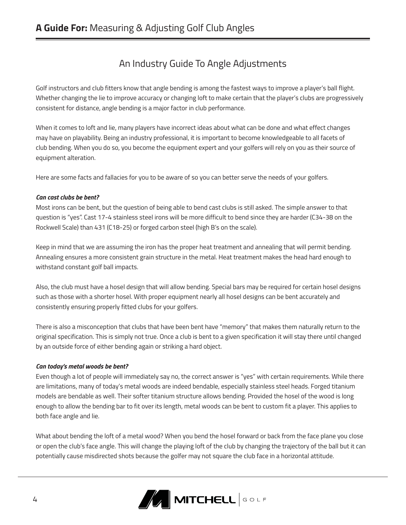Golf instructors and club fitters know that angle bending is among the fastest ways to improve a player's ball flight. Whether changing the lie to improve accuracy or changing loft to make certain that the player's clubs are progressively consistent for distance, angle bending is a major factor in club performance.

When it comes to loft and lie, many players have incorrect ideas about what can be done and what effect changes may have on playability. Being an industry professional, it is important to become knowledgeable to all facets of club bending. When you do so, you become the equipment expert and your golfers will rely on you as their source of equipment alteration.

Here are some facts and fallacies for you to be aware of so you can better serve the needs of your golfers.

#### *Can cast clubs be bent?*

Most irons can be bent, but the question of being able to bend cast clubs is still asked. The simple answer to that question is "yes". Cast 17-4 stainless steel irons will be more difficult to bend since they are harder (C34-38 on the Rockwell Scale) than 431 (C18-25) or forged carbon steel (high B's on the scale).

Keep in mind that we are assuming the iron has the proper heat treatment and annealing that will permit bending. Annealing ensures a more consistent grain structure in the metal. Heat treatment makes the head hard enough to withstand constant golf ball impacts.

Also, the club must have a hosel design that will allow bending. Special bars may be required for certain hosel designs such as those with a shorter hosel. With proper equipment nearly all hosel designs can be bent accurately and consistently ensuring properly fitted clubs for your golfers.

There is also a misconception that clubs that have been bent have "memory" that makes them naturally return to the original specification. This is simply not true. Once a club is bent to a given specification it will stay there until changed by an outside force of either bending again or striking a hard object.

#### *Can today's metal woods be bent?*

Even though a lot of people will immediately say no, the correct answer is "yes" with certain requirements. While there are limitations, many of today's metal woods are indeed bendable, especially stainless steel heads. Forged titanium models are bendable as well. Their softer titanium structure allows bending. Provided the hosel of the wood is long enough to allow the bending bar to fit over its length, metal woods can be bent to custom fit a player. This applies to both face angle and lie.

What about bending the loft of a metal wood? When you bend the hosel forward or back from the face plane you close or open the club's face angle. This will change the playing loft of the club by changing the trajectory of the ball but it can potentially cause misdirected shots because the golfer may not square the club face in a horizontal attitude.

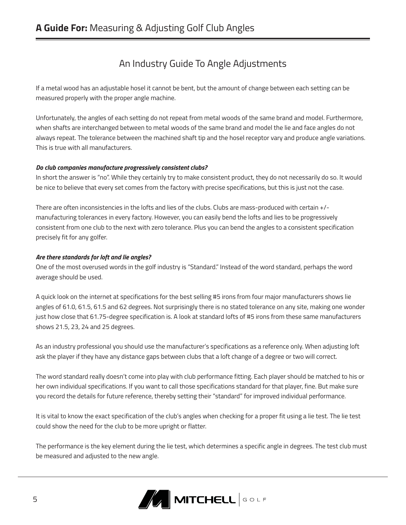If a metal wood has an adjustable hosel it cannot be bent, but the amount of change between each setting can be measured properly with the proper angle machine.

Unfortunately, the angles of each setting do not repeat from metal woods of the same brand and model. Furthermore, when shafts are interchanged between to metal woods of the same brand and model the lie and face angles do not always repeat. The tolerance between the machined shaft tip and the hosel receptor vary and produce angle variations. This is true with all manufacturers.

#### *Do club companies manufacture progressively consistent clubs?*

In short the answer is "no". While they certainly try to make consistent product, they do not necessarily do so. It would be nice to believe that every set comes from the factory with precise specifications, but this is just not the case.

There are often inconsistencies in the lofts and lies of the clubs. Clubs are mass-produced with certain +/ manufacturing tolerances in every factory. However, you can easily bend the lofts and lies to be progressively consistent from one club to the next with zero tolerance. Plus you can bend the angles to a consistent specification precisely fit for any golfer.

#### *Are there standards for loft and lie angles?*

One of the most overused words in the golf industry is "Standard." Instead of the word standard, perhaps the word average should be used.

A quick look on the internet at specifications for the best selling #5 irons from four major manufacturers shows lie angles of 61.0, 61.5, 61.5 and 62 degrees. Not surprisingly there is no stated tolerance on any site, making one wonder just how close that 61.75-degree specification is. A look at standard lofts of #5 irons from these same manufacturers shows 21.5, 23, 24 and 25 degrees.

As an industry professional you should use the manufacturer's specifications as a reference only. When adjusting loft ask the player if they have any distance gaps between clubs that a loft change of a degree or two will correct.

The word standard really doesn't come into play with club performance fitting. Each player should be matched to his or her own individual specifications. If you want to call those specifications standard for that player, fine. But make sure you record the details for future reference, thereby setting their "standard" for improved individual performance.

It is vital to know the exact specification of the club's angles when checking for a proper fit using a lie test. The lie test could show the need for the club to be more upright or flatter.

The performance is the key element during the lie test, which determines a specific angle in degrees. The test club must be measured and adjusted to the new angle.

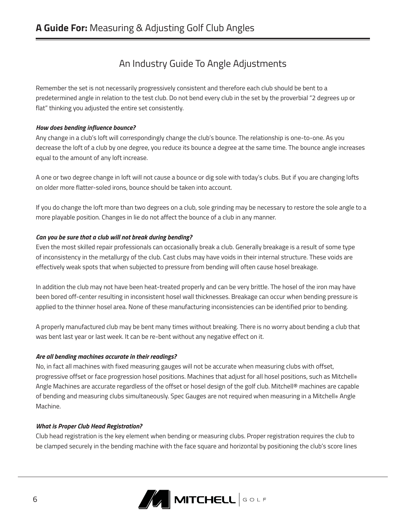Remember the set is not necessarily progressively consistent and therefore each club should be bent to a predetermined angle in relation to the test club. Do not bend every club in the set by the proverbial "2 degrees up or flat" thinking you adjusted the entire set consistently.

#### *How does bending influence bounce?*

Any change in a club's loft will correspondingly change the club's bounce. The relationship is one-to-one. As you decrease the loft of a club by one degree, you reduce its bounce a degree at the same time. The bounce angle increases equal to the amount of any loft increase.

A one or two degree change in loft will not cause a bounce or dig sole with today's clubs. But if you are changing lofts on older more flatter-soled irons, bounce should be taken into account.

If you do change the loft more than two degrees on a club, sole grinding may be necessary to restore the sole angle to a more playable position. Changes in lie do not affect the bounce of a club in any manner.

#### *Can you be sure that a club will not break during bending?*

Even the most skilled repair professionals can occasionally break a club. Generally breakage is a result of some type of inconsistency in the metallurgy of the club. Cast clubs may have voids in their internal structure. These voids are effectively weak spots that when subjected to pressure from bending will often cause hosel breakage.

In addition the club may not have been heat-treated properly and can be very brittle. The hosel of the iron may have been bored off-center resulting in inconsistent hosel wall thicknesses. Breakage can occur when bending pressure is applied to the thinner hosel area. None of these manufacturing inconsistencies can be identified prior to bending.

A properly manufactured club may be bent many times without breaking. There is no worry about bending a club that was bent last year or last week. It can be re-bent without any negative effect on it.

#### *Are all bending machines accurate in their readings?*

No, in fact all machines with fixed measuring gauges will not be accurate when measuring clubs with offset, progressive offset or face progression hosel positions. Machines that adjust for all hosel positions, such as Mitchell® Angle Machines are accurate regardless of the offset or hosel design of the golf club. Mitchell® machines are capable of bending and measuring clubs simultaneously. Spec Gauges are not required when measuring in a Mitchell® Angle Machine.

#### *What is Proper Club Head Registration?*

Club head registration is the key element when bending or measuring clubs. Proper registration requires the club to be clamped securely in the bending machine with the face square and horizontal by positioning the club's score lines

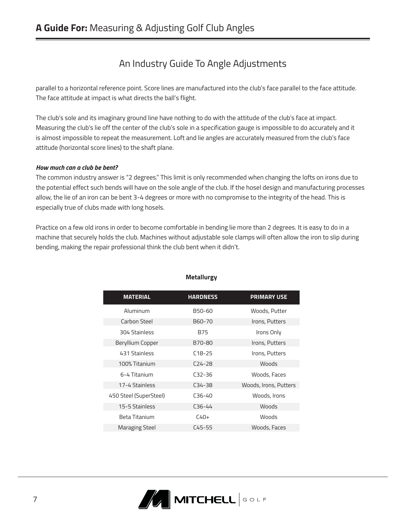parallel to a horizontal reference point. Score lines are manufactured into the club's face parallel to the face attitude. The face attitude at impact is what directs the ball's flight.

The club's sole and its imaginary ground line have nothing to do with the attitude of the club's face at impact. Measuring the club's lie off the center of the club's sole in a specification gauge is impossible to do accurately and it is almost impossible to repeat the measurement. Loft and lie angles are accurately measured from the club's face attitude (horizontal score lines) to the shaft plane.

#### *How much can a club be bent?*

The common industry answer is "2 degrees." This limit is only recommended when changing the lofts on irons due to the potential effect such bends will have on the sole angle of the club. If the hosel design and manufacturing processes allow, the lie of an iron can be bent 3-4 degrees or more with no compromise to the integrity of the head. This is especially true of clubs made with long hosels.

Practice on a few old irons in order to become comfortable in bending lie more than 2 degrees. It is easy to do in a machine that securely holds the club. Machines without adjustable sole clamps will often allow the iron to slip during bending, making the repair professional think the club bent when it didn't.

| <b>MATERIAL</b>        | <b>HARDNESS</b> | <b>PRIMARY USE</b>    |
|------------------------|-----------------|-----------------------|
| Aluminum               | B50-60          | Woods, Putter         |
| Carbon Steel           | B60-70          | Irons, Putters        |
| 304 Stainless          | <b>B75</b>      | Irons Only            |
| Beryllium Copper       | B70-80          | Irons, Putters        |
| 431 Stainless          | $C18-25$        | Irons, Putters        |
| 100% Titanium          | $C24 - 28$      | Woods                 |
| 6-4 Titanium           | C32-36          | Woods, Faces          |
| 17-4 Stainless         | $C34 - 38$      | Woods, Irons, Putters |
| 450 Steel (SuperSteel) | $C36-40$        | Woods, Irons          |
| 15-5 Stainless         | C36-44          | Woods                 |
| Beta Titanium          | $C40+$          | Woods                 |
| <b>Maraging Steel</b>  | $C45 - 55$      | Woods, Faces          |

#### **Metallurgy**

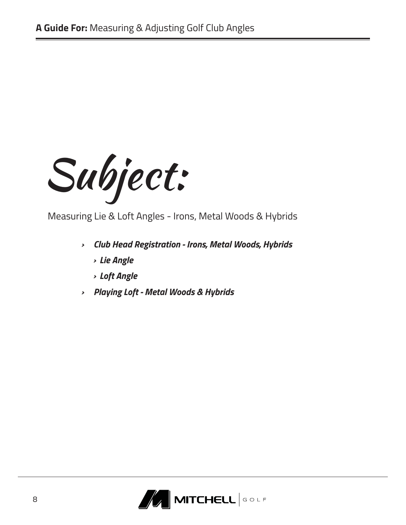

Measuring Lie & Loft Angles - Irons, Metal Woods & Hybrids

- *› Club Head Registration Irons, Metal Woods, Hybrids*
	- *› Lie Angle*
	- *› Loft Angle*
- *› Playing Loft Metal Woods & Hybrids*

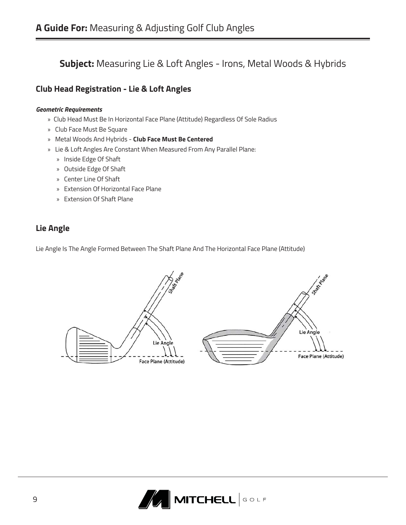**Subject:** Measuring Lie & Loft Angles - Irons, Metal Woods & Hybrids

# **Club Head Registration - Lie & Loft Angles**

#### *Geometric Requirements*

- » Club Head Must Be In Horizontal Face Plane (Attitude) Regardless Of Sole Radius
- » Club Face Must Be Square
- » Metal Woods And Hybrids - **Club Face Must Be Centered**
- » Lie & Loft Angles Are Constant When Measured From Any Parallel Plane:
	- » Inside Edge Of Shaft
	- » Outside Edge Of Shaft
	- » Center Line Of Shaft
	- » Extension Of Horizontal Face Plane
	- » Extension Of Shaft Plane

### **Lie Angle**

Lie Angle Is The Angle Formed Between The Shaft Plane And The Horizontal Face Plane (Attitude)



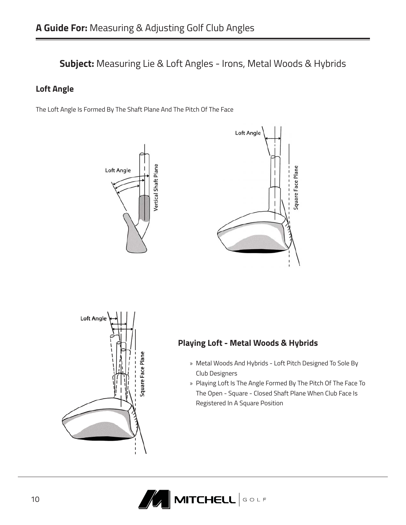**Subject:** Measuring Lie & Loft Angles - Irons, Metal Woods & Hybrids

# **Loft Angle**

The Loft Angle Is Formed By The Shaft Plane And The Pitch Of The Face







# **Playing Loft - Metal Woods & Hybrids**

- » Metal Woods And Hybrids Loft Pitch Designed To Sole By Club Designers
- » Playing Loft Is The Angle Formed By The Pitch Of The Face To The Open - Square - Closed Shaft Plane When Club Face Is Registered In A Square Position

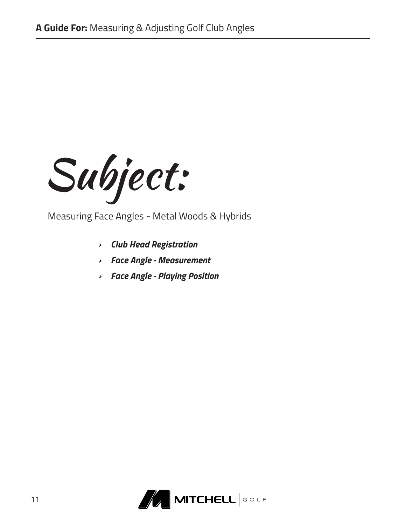

Measuring Face Angles - Metal Woods & Hybrids

- *› Club Head Registration*
- *› Face Angle Measurement*
- *› Face Angle Playing Position*

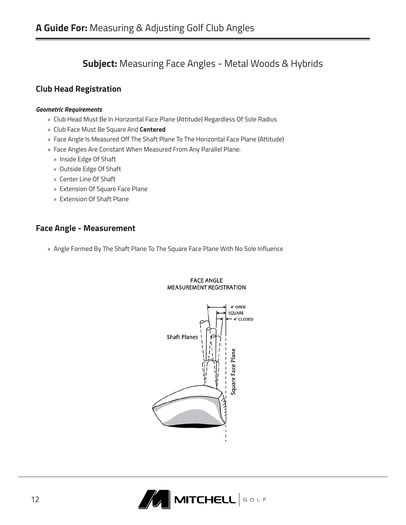**Subject:** Measuring Face Angles - Metal Woods & Hybrids

### **Club Head Registration**

#### *Geometric Requirements*

- » Club Head Must Be In Horizontal Face Plane (Attitude) Regardless Of Sole Radius
- » Club Face Must Be Square And **Centered**
- » Face Angle Is Measured Off The Shaft Plane To The Horizontal Face Plane (Attitude)
- » Face Angles Are Constant When Measured From Any Parallel Plane:
	- » Inside Edge Of Shaft
	- » Outside Edge Of Shaft
	- » Center Line Of Shaft
	- » Extension Of Square Face Plane
	- » Extension Of Shaft Plane

### **Face Angle - Measurement**

» Angle Formed By The Shaft Plane To The Square Face Plane With No Sole Influence

#### **FACE ANGLE MEASUREMENT REGISTRATION**



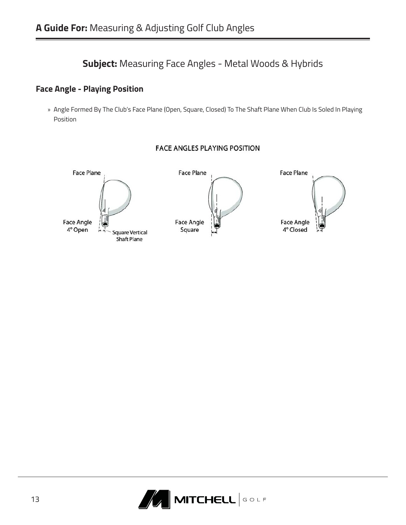# **Subject:** Measuring Face Angles - Metal Woods & Hybrids

# **Face Angle - Playing Position**

» Angle Formed By The Club's Face Plane (Open, Square, Closed) To The Shaft Plane When Club Is Soled In Playing Position

#### **FACE ANGLES PLAYING POSITION**



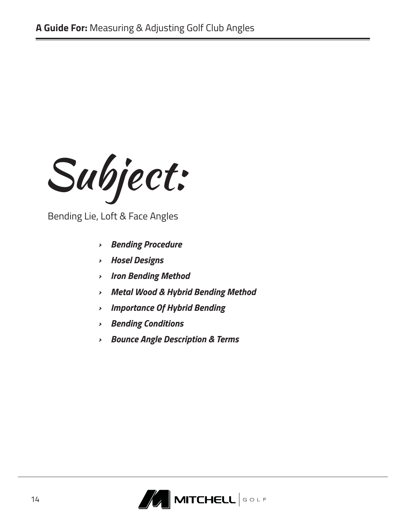

Bending Lie, Loft & Face Angles

- *› Bending Procedure*
- *› Hosel Designs*
- *› Iron Bending Method*
- *› Metal Wood & Hybrid Bending Method*
- *› Importance Of Hybrid Bending*
- *› Bending Conditions*
- *› Bounce Angle Description & Terms*

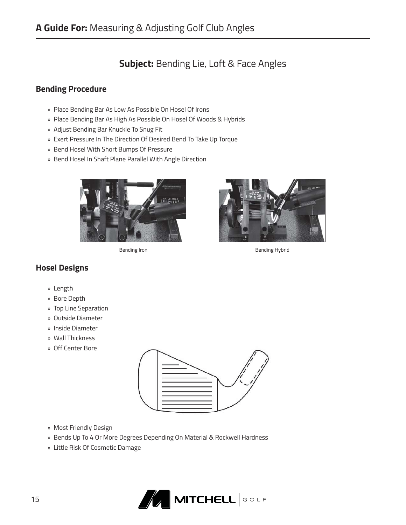### **Bending Procedure**

- » Place Bending Bar As Low As Possible On Hosel Of Irons
- » Place Bending Bar As High As Possible On Hosel Of Woods & Hybrids
- » Adjust Bending Bar Knuckle To Snug Fit
- » Exert Pressure In The Direction Of Desired Bend To Take Up Torque
- » Bend Hosel With Short Bumps Of Pressure
- » Bend Hosel In Shaft Plane Parallel With Angle Direction





Bending Iron **Bending Hybrid** Bending Hybrid

### **Hosel Designs**

- » Length
- » Bore Depth
- » Top Line Separation
- » Outside Diameter
- » Inside Diameter
- » Wall Thickness
- » Off Center Bore



- » Most Friendly Design
- » Bends Up To 4 Or More Degrees Depending On Material & Rockwell Hardness
- » Little Risk Of Cosmetic Damage

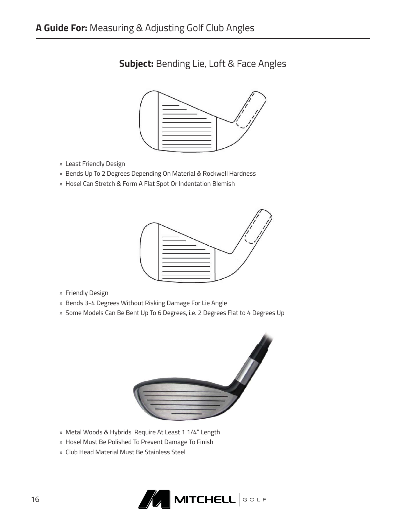

- » Least Friendly Design
- » Bends Up To 2 Degrees Depending On Material & Rockwell Hardness
- » Hosel Can Stretch & Form A Flat Spot Or Indentation Blemish



- » Friendly Design
- » Bends 3-4 Degrees Without Risking Damage For Lie Angle
- » Some Models Can Be Bent Up To 6 Degrees, i.e. 2 Degrees Flat to 4 Degrees Up



- » Metal Woods & Hybrids Require At Least 1 1/4" Length
- » Hosel Must Be Polished To Prevent Damage To Finish
- » Club Head Material Must Be Stainless Steel

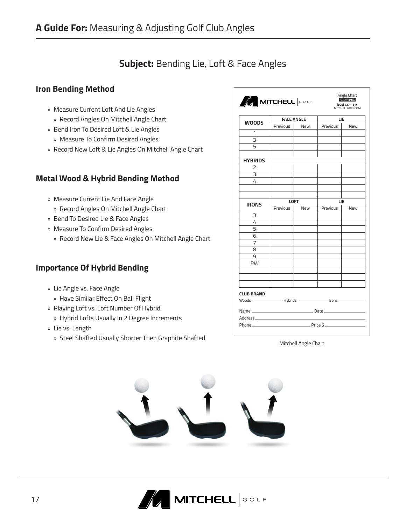### **Iron Bending Method**

- » Measure Current Loft And Lie Angles
	- » Record Angles On Mitchell Angle Chart
- » Bend Iron To Desired Loft & Lie Angles
- » Measure To Confirm Desired Angles
- » Record New Loft & Lie Angles On Mitchell Angle Chart

# **Metal Wood & Hybrid Bending Method**

- » Measure Current Lie And Face Angle
	- » Record Angles On Mitchell Angle Chart
- » Bend To Desired Lie & Face Angles
- » Measure To Confirm Desired Angles
	- » Record New Lie & Face Angles On Mitchell Angle Chart

### **Importance Of Hybrid Bending**

- » Lie Angle vs. Face Angle
	- » Have Similar Effect On Ball Flight
- » Playing Loft vs. Loft Number Of Hybrid
	- » Hybrid Lofts Usually In 2 Degree Increments
- » Lie vs. Length
	- » Steel Shafted Usually Shorter Then Graphite Shafted

|                   | <b>FACE ANGLE</b> |            | LIE.                                                                             |            |  |
|-------------------|-------------------|------------|----------------------------------------------------------------------------------|------------|--|
| <b>WOODS</b>      | Previous          | New        | Previous                                                                         | <b>New</b> |  |
| 1                 |                   |            |                                                                                  |            |  |
| $\overline{3}$    |                   |            |                                                                                  |            |  |
| 5                 |                   |            |                                                                                  |            |  |
| <b>HYBRIDS</b>    |                   |            |                                                                                  |            |  |
| 2                 |                   |            |                                                                                  |            |  |
| 3                 |                   |            |                                                                                  |            |  |
| 4                 |                   |            |                                                                                  |            |  |
|                   |                   |            |                                                                                  |            |  |
|                   |                   |            |                                                                                  |            |  |
| <b>IRONS</b>      | LOFT              |            | LIE.                                                                             |            |  |
|                   | Previous          | <b>New</b> | Previous                                                                         | <b>New</b> |  |
| 3                 |                   |            |                                                                                  |            |  |
| 4                 |                   |            |                                                                                  |            |  |
| $\overline{5}$    |                   |            |                                                                                  |            |  |
| 6                 |                   |            |                                                                                  |            |  |
| $\overline{7}$    |                   |            |                                                                                  |            |  |
| 8                 |                   |            |                                                                                  |            |  |
| 9                 |                   |            |                                                                                  |            |  |
| <b>PW</b>         |                   |            |                                                                                  |            |  |
|                   |                   |            |                                                                                  |            |  |
|                   |                   |            |                                                                                  |            |  |
| <b>CLUB BRAND</b> |                   |            |                                                                                  |            |  |
|                   |                   |            | Woods ____________________Hybrids ____________________ Irons ___________________ |            |  |

Mitchell Angle Chart



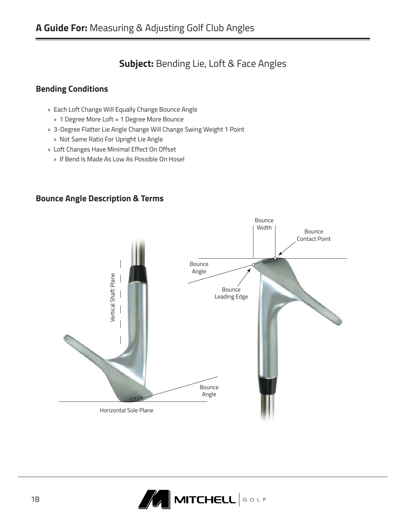### **Bending Conditions**

- » Each Loft Change Will Equally Change Bounce Angle
	- » 1 Degree More Loft = 1 Degree More Bounce
- » 3-Degree Flatter Lie Angle Change Will Change Swing Weight 1 Point
- » Not Same Ratio For Upright Lie Angle
- » Loft Changes Have Minimal Effect On Offset
	- » If Bend Is Made As Low As Possible On Hosel



### **Bounce Angle Description & Terms**

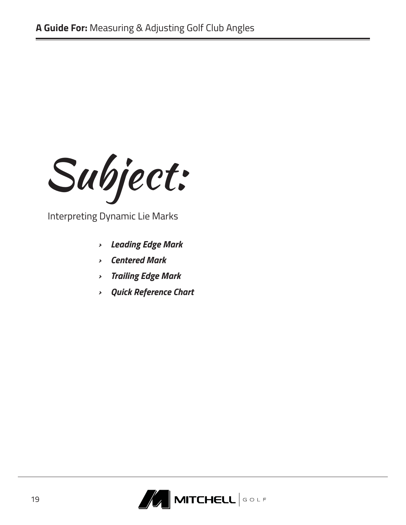

Interpreting Dynamic Lie Marks

- *› Leading Edge Mark*
- *› Centered Mark*
- *› Trailing Edge Mark*
- *› Quick Reference Chart*

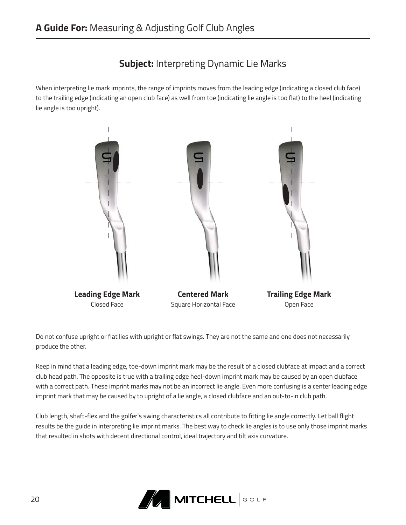# **Subject:** Interpreting Dynamic Lie Marks

When interpreting lie mark imprints, the range of imprints moves from the leading edge (indicating a closed club face) to the trailing edge (indicating an open club face) as well from toe (indicating lie angle is too flat) to the heel (indicating lie angle is too upright).



Do not confuse upright or flat lies with upright or flat swings. They are not the same and one does not necessarily produce the other.

Keep in mind that a leading edge, toe-down imprint mark may be the result of a closed clubface at impact and a correct club head path. The opposite is true with a trailing edge heel-down imprint mark may be caused by an open clubface with a correct path. These imprint marks may not be an incorrect lie angle. Even more confusing is a center leading edge imprint mark that may be caused by to upright of a lie angle, a closed clubface and an out-to-in club path.

Club length, shaft-flex and the golfer's swing characteristics all contribute to fitting lie angle correctly. Let ball flight results be the guide in interpreting lie imprint marks. The best way to check lie angles is to use only those imprint marks that resulted in shots with decent directional control, ideal trajectory and tilt axis curvature.

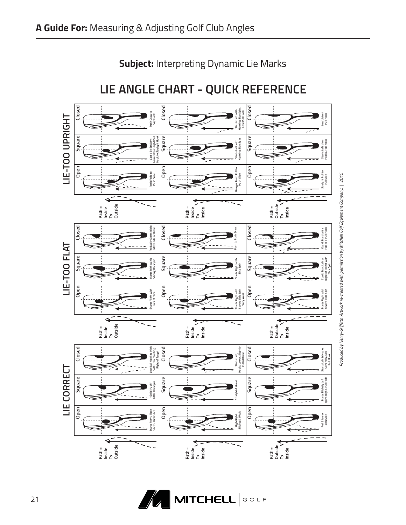

**Subject:** Interpreting Dynamic Lie Marks

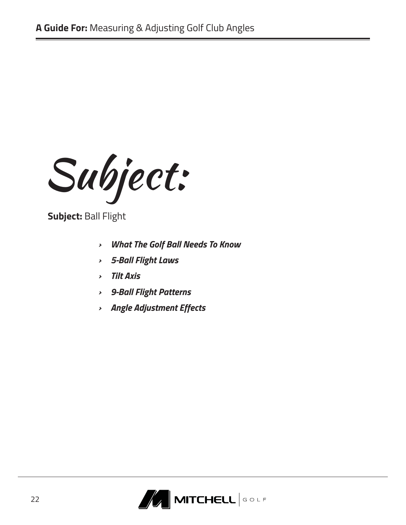

**Subject:** Ball Flight

- *› What The Golf Ball Needs To Know*
- *› 5-Ball Flight Laws*
- *› Tilt Axis*
- *› 9-Ball Flight Patterns*
- *› Angle Adjustment Effects*

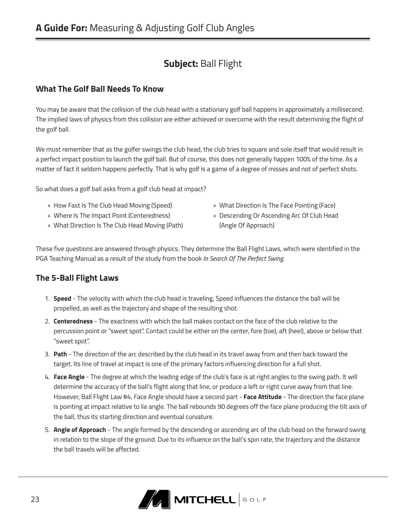# **Subject:** Ball Flight

### **What The Golf Ball Needs To Know**

You may be aware that the collision of the club head with a stationary golf ball happens in approximately a millisecond. The implied laws of physics from this collision are either achieved or overcome with the result determining the flight of the golf ball.

We must remember that as the golfer swings the club head, the club tries to square and sole itself that would result in a perfect impact position to launch the golf ball. But of course, this does not generally happen 100% of the time. As a matter of fact it seldom happens perfectly. That is why golf is a game of a degree of misses and not of perfect shots.

So what does a golf ball asks from a golf club head at impact?

- » How Fast Is The Club Head Moving (Speed)
- » Where Is The Impact Point (Centeredness)
- » What Direction Is The Club Head Moving (Path)
- » What Direction Is The Face Pointing (Face)
- » Descending Or Ascending Arc Of Club Head (Angle Of Approach)

These five questions are answered through physics. They determine the Ball Flight Laws, which were identified in the PGA Teaching Manual as a result of the study from the book *In Search Of The Perfect Swing*.

### **The 5-Ball Flight Laws**

- 1. **Speed** The velocity with which the club head is traveling, Speed influences the distance the ball will be propelled, as well as the trajectory and shape of the resulting shot.
- 2. **Centeredness** The exactness with which the ball makes contact on the face of the club relative to the percussion point or "sweet spot". Contact could be either on the center, fore (toe), aft (heel), above or below that "sweet spot".
- 3. **Path** The direction of the arc described by the club head in its travel away from and then back toward the target. Its line of travel at impact is one of the primary factors influencing direction for a full shot.
- 4. **Face Angle** The degree at which the leading edge of the club's face is at right angles to the swing path. It will determine the accuracy of the ball's flight along that line, or produce a left or right curve away from that line. However, Ball Flight Law #4, Face Angle should have a second part - **Face Attitude** - The direction the face plane is pointing at impact relative to lie angle. The ball rebounds 90 degrees off the face plane producing the tilt axis of the ball, thus its starting direction and eventual curvature.
- 5. **Angle of Approach** The angle formed by the descending or ascending arc of the club head on the forward swing in relation to the slope of the ground. Due to its influence on the ball's spin rate, the trajectory and the distance the ball travels will be affected.

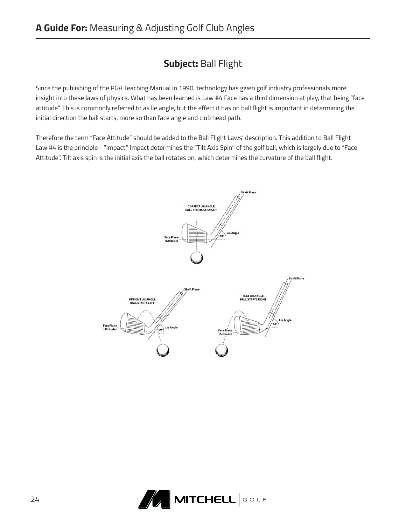# **Subject:** Ball Flight

Since the publishing of the PGA Teaching Manual in 1990, technology has given golf industry professionals more insight into these laws of physics. What has been learned is Law #4 Face has a third dimension at play, that being "face attitude". This is commonly referred to as lie angle, but the effect it has on ball flight is important in determining the initial direction the ball starts, more so than face angle and club head path.

Therefore the term "Face Attitude" should be added to the Ball Flight Laws' description. This addition to Ball Flight Law #4 is the principle - "Impact." Impact determines the "Tilt Axis Spin" of the golf ball, which is largely due to "Face Attitude". Tilt axis spin is the initial axis the ball rotates on, which determines the curvature of the ball flight.



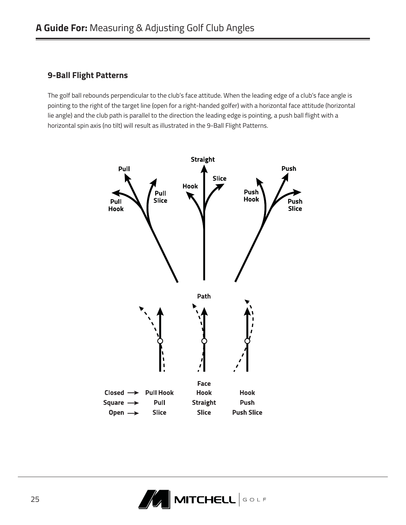### **9-Ball Flight Patterns**

The golf ball rebounds perpendicular to the club's face attitude. When the leading edge of a club's face angle is pointing to the right of the target line (open for a right-handed golfer) with a horizontal face attitude (horizontal lie angle) and the club path is parallel to the direction the leading edge is pointing, a push ball flight with a horizontal spin axis (no tilt) will result as illustrated in the 9-Ball Flight Patterns.



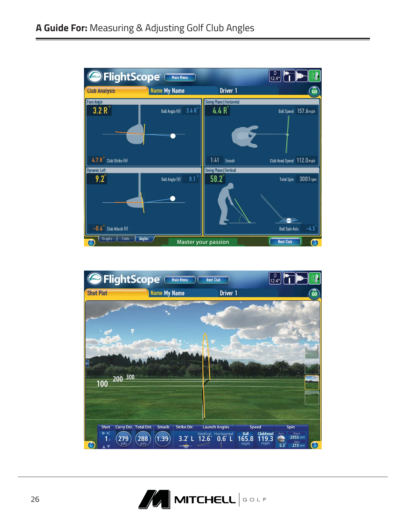



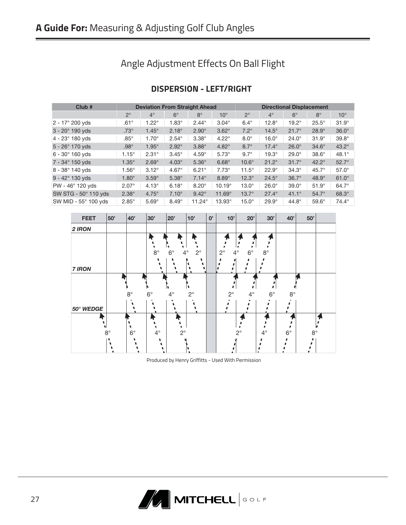Angle Adjustment Effects On Ball Flight

| Club#                    | <b>Deviation From Straight Ahead</b> |              |              |               | <b>Directional Displacement</b> |              |                |                |              |              |
|--------------------------|--------------------------------------|--------------|--------------|---------------|---------------------------------|--------------|----------------|----------------|--------------|--------------|
|                          | $2^{\circ}$                          | $4^\circ$    | $6^{\circ}$  | $8^\circ$     | $10^{\circ}$                    | $2^{\circ}$  | $4^\circ$      | $6^{\circ}$    | $8^{\circ}$  | $10^{\circ}$ |
| $2 - 17^{\circ} 200$ yds | $.61^{\circ}$                        | $1.22^\circ$ | $1.83^\circ$ | $2.44^\circ$  | $3.04^\circ$                    | $6.4^\circ$  | $12.8^\circ$   | $19.2^\circ$   | $25.5^\circ$ | $31.9^\circ$ |
| $3 - 20^{\circ}$ 190 yds | $.73^\circ$                          | $1.45^\circ$ | $2.18^\circ$ | $2.90^\circ$  | $3.62^\circ$                    | $7.2^\circ$  | $14.5^\circ$   | $21.7^{\circ}$ | $28.9^\circ$ | $36.0^\circ$ |
| $4 - 23^{\circ}$ 180 yds | $.85^\circ$                          | $1.70^\circ$ | $2.54^\circ$ | $3.38^\circ$  | $4.22^\circ$                    | $8.0^\circ$  | $16.0^\circ$   | $24.0^\circ$   | $31.9^\circ$ | $39.8^\circ$ |
| $5 - 26^{\circ}$ 170 yds | $.98^\circ$                          | $1.95^\circ$ | $2.92^\circ$ | $3.88^\circ$  | $4.82^\circ$                    | $8.7^\circ$  | $17.4^\circ$   | $26.0^\circ$   | $34.6^\circ$ | $43.2^\circ$ |
| $6 - 30^{\circ}$ 160 yds | $1.15^\circ$                         | $2.31^\circ$ | $3.45^\circ$ | $4.59^\circ$  | $5.73^\circ$                    | $9.7^\circ$  | $19.3^\circ$   | $29.0^\circ$   | $38.6^\circ$ | $48.1^\circ$ |
| $7 - 34^{\circ}$ 150 yds | $1.35^\circ$                         | $2.69^\circ$ | $4.03^\circ$ | $5.36^\circ$  | $6.68^\circ$                    | $10.6^\circ$ | $21.2^{\circ}$ | $31.7^\circ$   | $42.2^\circ$ | $52.7^\circ$ |
| $8 - 38^{\circ}$ 140 yds | $1.56^\circ$                         | $3.12^\circ$ | $4.67^\circ$ | $6.21^\circ$  | $7.73^\circ$                    | $11.5^\circ$ | $22.9^\circ$   | $34.3^\circ$   | $45.7^\circ$ | $57.0^\circ$ |
| $9 - 42^{\circ}$ 130 yds | $1.80^\circ$                         | $3.59^\circ$ | $5.38^\circ$ | $7.14^\circ$  | $8.89^\circ$                    | $12.3^\circ$ | $24.5^\circ$   | $36.7^\circ$   | $48.9^\circ$ | $61.0^\circ$ |
| PW - 46° 120 yds         | $2.07^\circ$                         | $4.13^\circ$ | $6.18^\circ$ | $8.20^\circ$  | $10.19^\circ$                   | $13.0^\circ$ | $26.0^\circ$   | $39.0^\circ$   | $51.9^\circ$ | $64.7^\circ$ |
| SW STG - 50° 110 yds     | $2.38^\circ$                         | $4.75^\circ$ | $7.10^\circ$ | $9.42^\circ$  | $11.69^\circ$                   | $13.7^\circ$ | $27.4^\circ$   | $41.1^{\circ}$ | $54.7^\circ$ | $68.3^\circ$ |
| SW MID - 55° 100 vds     | $2.85^\circ$                         | $5.69^\circ$ | $8.49^\circ$ | $11.24^\circ$ | $13.93^\circ$                   | $15.0^\circ$ | $29.9^\circ$   | $44.8^\circ$   | $59.6^\circ$ | $74.4^\circ$ |

# **DISPERSION - LEFT/RIGHT**



Produced by Henry Griffitts - Used With Permission

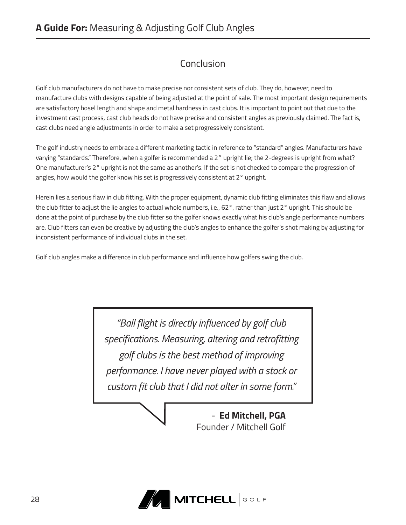# Conclusion

Golf club manufacturers do not have to make precise nor consistent sets of club. They do, however, need to manufacture clubs with designs capable of being adjusted at the point of sale. The most important design requirements are satisfactory hosel length and shape and metal hardness in cast clubs. It is important to point out that due to the investment cast process, cast club heads do not have precise and consistent angles as previously claimed. The fact is, cast clubs need angle adjustments in order to make a set progressively consistent.

The golf industry needs to embrace a different marketing tactic in reference to "standard" angles. Manufacturers have varying "standards." Therefore, when a golfer is recommended a 2° upright lie; the 2-degrees is upright from what? One manufacturer's 2° upright is not the same as another's. If the set is not checked to compare the progression of angles, how would the golfer know his set is progressively consistent at 2° upright.

Herein lies a serious flaw in club fitting. With the proper equipment, dynamic club fitting eliminates this flaw and allows the club fitter to adjust the lie angles to actual whole numbers, i.e., 62°, rather than just 2° upright. This should be done at the point of purchase by the club fitter so the golfer knows exactly what his club's angle performance numbers are. Club fitters can even be creative by adjusting the club's angles to enhance the golfer's shot making by adjusting for inconsistent performance of individual clubs in the set.

Golf club angles make a difference in club performance and influence how golfers swing the club.



- **Ed Mitchell, PGA** Founder / Mitchell Golf